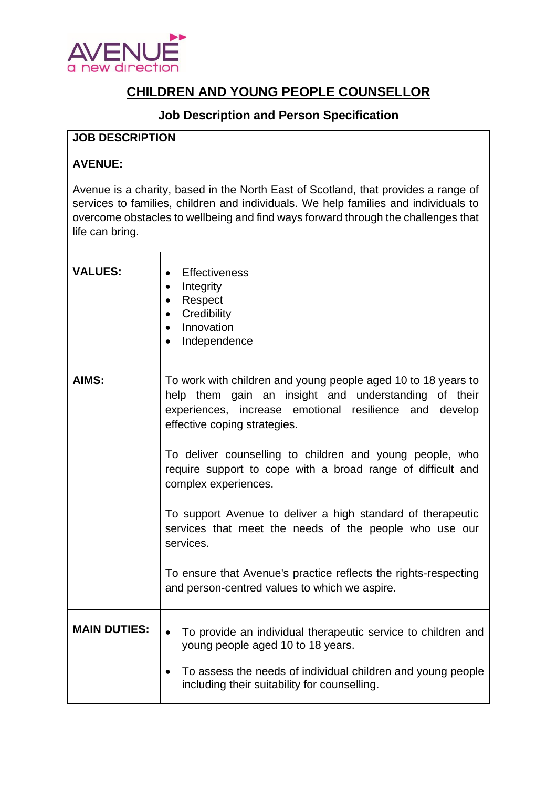

## **CHILDREN AND YOUNG PEOPLE COUNSELLOR**

## **Job Description and Person Specification**

## **JOB DESCRIPTION**

## **AVENUE:**

Avenue is a charity, based in the North East of Scotland, that provides a range of services to families, children and individuals. We help families and individuals to overcome obstacles to wellbeing and find ways forward through the challenges that life can bring.

| <b>VALUES:</b>      | <b>Effectiveness</b><br>$\bullet$<br>Integrity<br>$\bullet$<br>Respect<br>$\bullet$<br>Credibility<br>Innovation<br>Independence                                                                                                                                                                                                                                                                                                                                                                                                                                                                                             |
|---------------------|------------------------------------------------------------------------------------------------------------------------------------------------------------------------------------------------------------------------------------------------------------------------------------------------------------------------------------------------------------------------------------------------------------------------------------------------------------------------------------------------------------------------------------------------------------------------------------------------------------------------------|
| AIMS:               | To work with children and young people aged 10 to 18 years to<br>help them gain an insight and understanding of their<br>experiences, increase emotional resilience and develop<br>effective coping strategies.<br>To deliver counselling to children and young people, who<br>require support to cope with a broad range of difficult and<br>complex experiences.<br>To support Avenue to deliver a high standard of therapeutic<br>services that meet the needs of the people who use our<br>services.<br>To ensure that Avenue's practice reflects the rights-respecting<br>and person-centred values to which we aspire. |
| <b>MAIN DUTIES:</b> | To provide an individual therapeutic service to children and<br>$\bullet$<br>young people aged 10 to 18 years.<br>To assess the needs of individual children and young people<br>including their suitability for counselling.                                                                                                                                                                                                                                                                                                                                                                                                |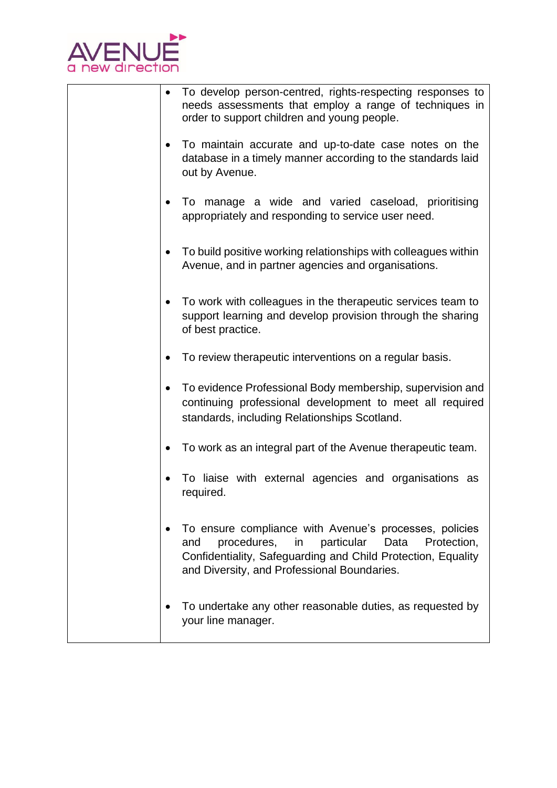

| To develop person-centred, rights-respecting responses to<br>needs assessments that employ a range of techniques in<br>order to support children and young people.                                                               |
|----------------------------------------------------------------------------------------------------------------------------------------------------------------------------------------------------------------------------------|
| To maintain accurate and up-to-date case notes on the<br>database in a timely manner according to the standards laid<br>out by Avenue.                                                                                           |
| To manage a wide and varied caseload, prioritising<br>appropriately and responding to service user need.                                                                                                                         |
| To build positive working relationships with colleagues within<br>$\bullet$<br>Avenue, and in partner agencies and organisations.                                                                                                |
| To work with colleagues in the therapeutic services team to<br>support learning and develop provision through the sharing<br>of best practice.                                                                                   |
| To review therapeutic interventions on a regular basis.                                                                                                                                                                          |
| To evidence Professional Body membership, supervision and<br>$\bullet$<br>continuing professional development to meet all required<br>standards, including Relationships Scotland.                                               |
| To work as an integral part of the Avenue therapeutic team.                                                                                                                                                                      |
| To liaise with external agencies and organisations as<br>required.                                                                                                                                                               |
| To ensure compliance with Avenue's processes, policies<br>procedures, in particular<br>and<br>Data<br>Protection,<br>Confidentiality, Safeguarding and Child Protection, Equality<br>and Diversity, and Professional Boundaries. |
| To undertake any other reasonable duties, as requested by<br>your line manager.                                                                                                                                                  |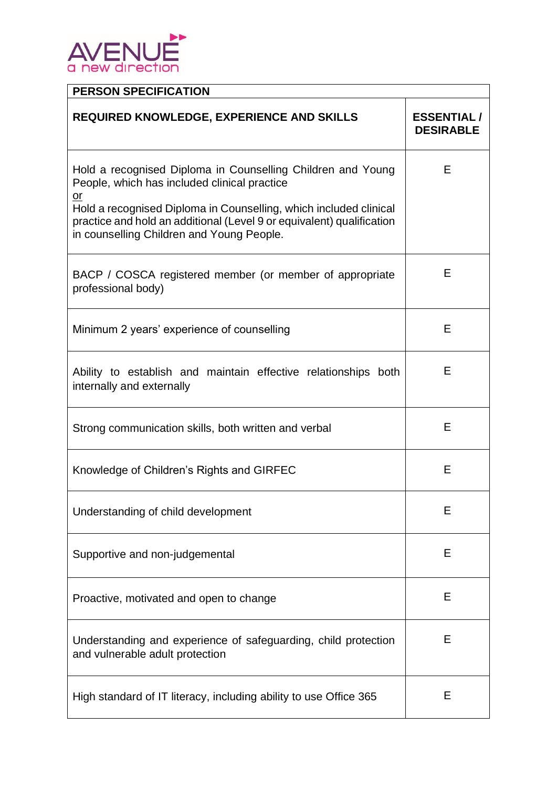

| <b>PERSON SPECIFICATION</b>                                                                                                                                                                                                                                                                                               |                                       |  |  |
|---------------------------------------------------------------------------------------------------------------------------------------------------------------------------------------------------------------------------------------------------------------------------------------------------------------------------|---------------------------------------|--|--|
| <b>REQUIRED KNOWLEDGE, EXPERIENCE AND SKILLS</b>                                                                                                                                                                                                                                                                          | <b>ESSENTIAL/</b><br><b>DESIRABLE</b> |  |  |
| Hold a recognised Diploma in Counselling Children and Young<br>People, which has included clinical practice<br>$\overline{or}$<br>Hold a recognised Diploma in Counselling, which included clinical<br>practice and hold an additional (Level 9 or equivalent) qualification<br>in counselling Children and Young People. | Е                                     |  |  |
| BACP / COSCA registered member (or member of appropriate<br>professional body)                                                                                                                                                                                                                                            | Е                                     |  |  |
| Minimum 2 years' experience of counselling                                                                                                                                                                                                                                                                                | Е                                     |  |  |
| Ability to establish and maintain effective relationships both<br>internally and externally                                                                                                                                                                                                                               | Е                                     |  |  |
| Strong communication skills, both written and verbal                                                                                                                                                                                                                                                                      | E                                     |  |  |
| Knowledge of Children's Rights and GIRFEC                                                                                                                                                                                                                                                                                 | E                                     |  |  |
| Understanding of child development                                                                                                                                                                                                                                                                                        | Ε                                     |  |  |
| Supportive and non-judgemental                                                                                                                                                                                                                                                                                            | Е                                     |  |  |
| Proactive, motivated and open to change                                                                                                                                                                                                                                                                                   | Ε                                     |  |  |
| Understanding and experience of safeguarding, child protection<br>and vulnerable adult protection                                                                                                                                                                                                                         | Е                                     |  |  |
| High standard of IT literacy, including ability to use Office 365                                                                                                                                                                                                                                                         | Е                                     |  |  |